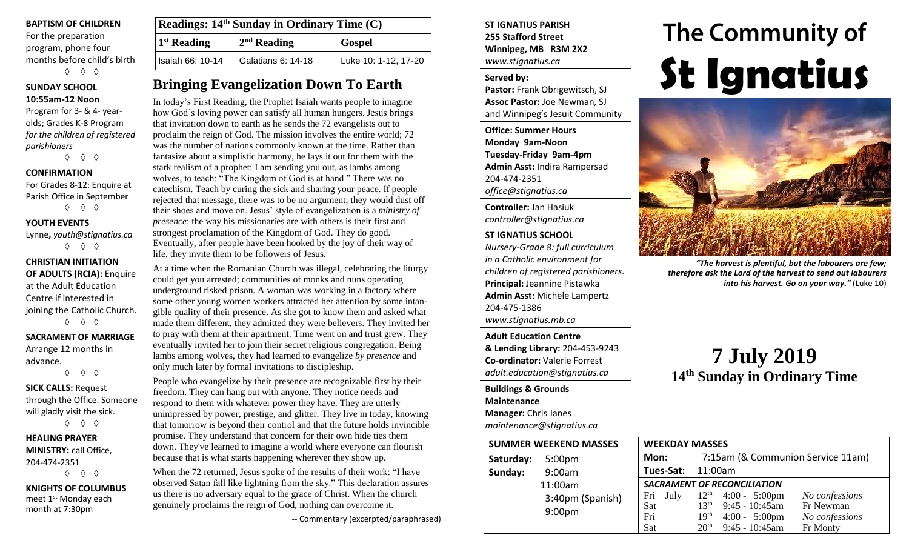#### **BAPTISM OF CHILDREN**

For the preparation program, phone four months before child's birth ◊ ◊ ◊

#### **SUNDAY SCHOOL 10:55am-12 Noon**

Program for 3- & 4- yearolds; Grades K-8 Program *for the children of registered parishioners*

◊ ◊ ◊

#### **CONFIRMATION**

For Grades 8-12: Enquire at Parish Office in September ◊ ◊ ◊

**YOUTH EVENTS**

Lynne**,** *youth@stignatius.ca*

◊ ◊ ◊

#### **CHRISTIAN INITIATION OF ADULTS (RCIA):** Enquire at the Adult Education Centre if interested in joining the Catholic Church. ◊ ◊ ◊

**SACRAMENT OF MARRIAGE** Arrange 12 months in

advance. ◊ ◊ ◊

**SICK CALLS:** Request through the Office. Someone will gladly visit the sick. ◊ ◊ ◊

**HEALING PRAYER MINISTRY:** call Office, 204-474-2351 ◊ ◊ ◊

**KNIGHTS OF COLUMBUS** meet 1<sup>st</sup> Monday each month at 7:30pm

| <b>Readings:</b> $14th$ Sunday in Ordinary Time $(C)$ |                         |                      |  |  |
|-------------------------------------------------------|-------------------------|----------------------|--|--|
| <sup>1st</sup> Reading                                | 2 <sup>nd</sup> Reading | <b>Gospel</b>        |  |  |
| Isaiah 66: 10-14                                      | Galatians 6: 14-18      | Luke 10: 1-12, 17-20 |  |  |

# **Bringing Evangelization Down To Earth**

In today's First Reading, the Prophet Isaiah wants people to imagine how God's loving power can satisfy all human hungers. Jesus brings that invitation down to earth as he sends the 72 evangelists out to proclaim the reign of God. The mission involves the entire world; 72 was the number of nations commonly known at the time. Rather than fantasize about a simplistic harmony, he lays it out for them with the stark realism of a prophet: I am sending you out, as lambs among wolves, to teach: "The Kingdom of God is at hand." There was no catechism. Teach by curing the sick and sharing your peace. If people rejected that message, there was to be no argument; they would dust off their shoes and move on. Jesus' style of evangelization is a *ministry of presence*; the way his missionaries are with others is their first and strongest proclamation of the Kingdom of God. They do good. Eventually, after people have been hooked by the joy of their way of life, they invite them to be followers of Jesus.

At a time when the Romanian Church was illegal, celebrating the liturgy could get you arrested; communities of monks and nuns operating underground risked prison. A woman was working in a factory where some other young women workers attracted her attention by some intangible quality of their presence. As she got to know them and asked what made them different, they admitted they were believers. They invited her to pray with them at their apartment. Time went on and trust grew. They eventually invited her to join their secret religious congregation. Being lambs among wolves, they had learned to evangelize *by presence* and only much later by formal invitations to discipleship.

People who evangelize by their presence are recognizable first by their freedom. They can hang out with anyone. They notice needs and respond to them with whatever power they have. They are utterly unimpressed by power, prestige, and glitter. They live in today, knowing that tomorrow is beyond their control and that the future holds invincible promise. They understand that concern for their own hide ties them down. They've learned to imagine a world where everyone can flourish because that is what starts happening wherever they show up.

When the 72 returned, Jesus spoke of the results of their work: "I have observed Satan fall like lightning from the sky." This declaration assures us there is no adversary equal to the grace of Christ. When the church genuinely proclaims the reign of God, nothing can overcome it.

-- Commentary (excerpted/paraphrased)

#### **ST IGNATIUS PARISH 255 Stafford Street Winnipeg, MB R3M 2X2** *www.stignatius.ca*

#### **Served by:**

**Pastor:** Frank Obrigewitsch, SJ **Assoc Pastor:** Joe Newman, SJ and Winnipeg's Jesuit Community

**Office: Summer Hours Monday 9am-Noon Tuesday-Friday 9am-4pm Admin Asst:** Indira Rampersad 204-474-2351 *office@stignatius.ca*

**Controller:** Jan Hasiuk *controller@stignatius.ca*

#### **ST IGNATIUS SCHOOL**

*Nursery-Grade 8: full curriculum in a Catholic environment for children of registered parishioners.* **Principal:** Jeannine Pistawka **Admin Asst:** Michele Lampertz 204-475-1386 *www.stignatius.mb.ca*

**Adult Education Centre & Lending Library:** 204-453-9243 **Co-ordinator:** Valerie Forrest *adult.education@stignatius.ca*

**Buildings & Grounds Maintenance Manager:** Chris Janes *maintenance@stignatius.ca*

# The Community of **St Ignatius**



*"The harvest is plentiful, but the labourers are few; therefore ask the Lord of the harvest to send out labourers into his harvest. Go on your way."* (Luke 10)

# **7 July 2019 14 th Sunday in Ordinary Time**

|           | <b>SUMMER WEEKEND MASSES</b> | <b>WEEKDAY MASSES</b> |                                                               |
|-----------|------------------------------|-----------------------|---------------------------------------------------------------|
| Saturday: | 5:00 <sub>pm</sub>           | Mon:                  | 7:15am (& Communion Service 11am)                             |
| Sunday:   | 9:00am                       | Tues-Sat:             | 11:00am                                                       |
|           | 11:00am                      |                       | <b>SACRAMENT OF RECONCILIATION</b>                            |
|           | 3:40pm (Spanish)             | July<br>Fri           | $12^{th}$ 4:00 - 5:00pm<br>No confessions                     |
|           |                              | Sat                   | $9:45 - 10:45$ am<br>13 <sup>th</sup><br>Fr Newman            |
|           | 9:00 <sub>pm</sub>           | Fri                   | 19 <sup>th</sup><br>$4:00 - 5:00 \text{pm}$<br>No confessions |
|           |                              | Sat                   | 20 <sup>th</sup><br>$9:45 - 10:45$ am<br>Fr Monty             |